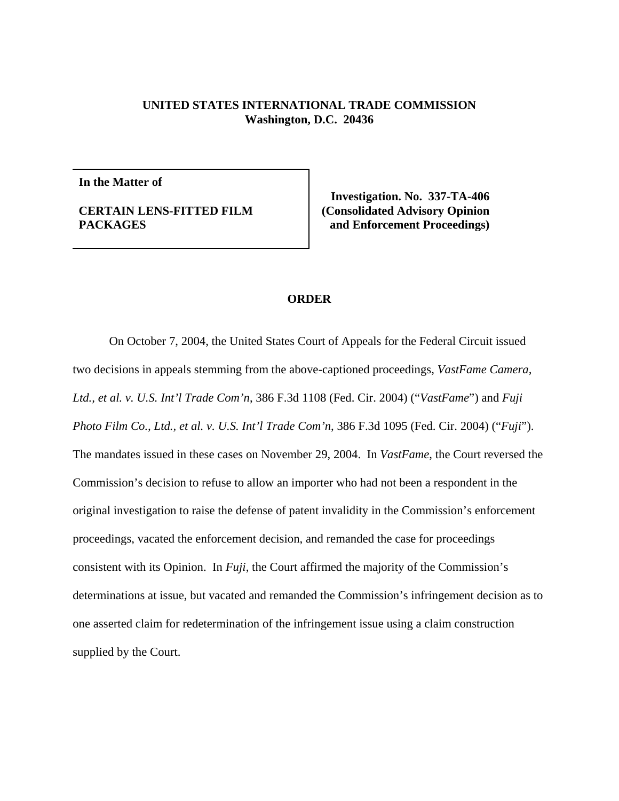## **UNITED STATES INTERNATIONAL TRADE COMMISSION Washington, D.C. 20436**

**In the Matter of**

## **CERTAIN LENS-FITTED FILM PACKAGES**

**Investigation. No. 337-TA-406 (Consolidated Advisory Opinion and Enforcement Proceedings)**

## **ORDER**

On October 7, 2004, the United States Court of Appeals for the Federal Circuit issued two decisions in appeals stemming from the above-captioned proceedings, *VastFame Camera, Ltd., et al. v. U.S. Int'l Trade Com'n*, 386 F.3d 1108 (Fed. Cir. 2004) ("*VastFame*") and *Fuji Photo Film Co., Ltd., et al. v. U.S. Int'l Trade Com'n*, 386 F.3d 1095 (Fed. Cir. 2004) ("*Fuji*"). The mandates issued in these cases on November 29, 2004. In *VastFame*, the Court reversed the Commission's decision to refuse to allow an importer who had not been a respondent in the original investigation to raise the defense of patent invalidity in the Commission's enforcement proceedings, vacated the enforcement decision, and remanded the case for proceedings consistent with its Opinion. In *Fuji*, the Court affirmed the majority of the Commission's determinations at issue, but vacated and remanded the Commission's infringement decision as to one asserted claim for redetermination of the infringement issue using a claim construction supplied by the Court.